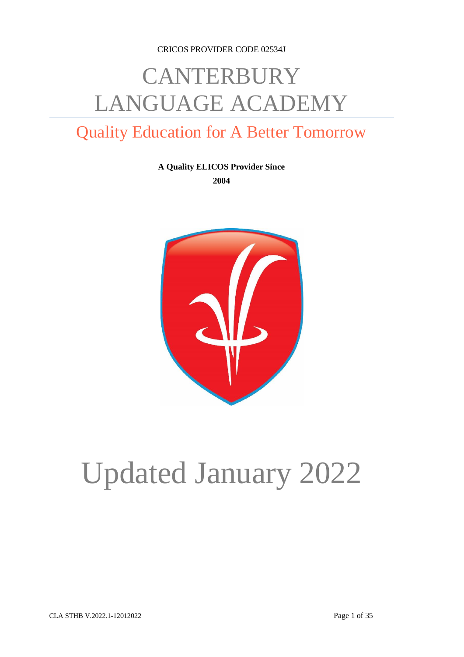CRICOS PROVIDER CODE 02534J

# **CANTERBURY** LANGUAGE ACADEMY

# Quality Education for A Better Tomorrow

**A Quality ELICOS Provider Since 2004**



# Updated January 2022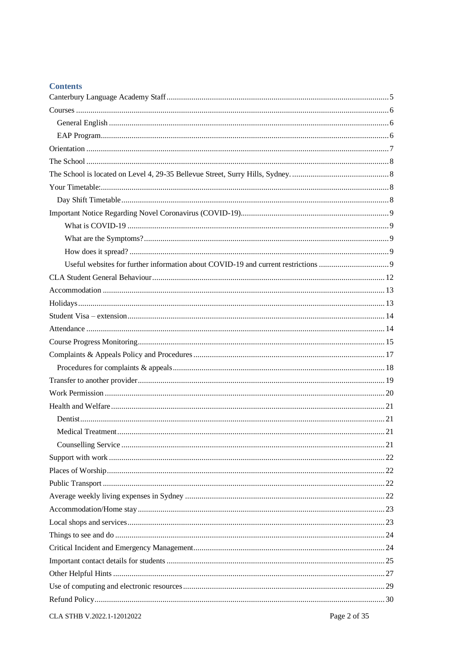| Contents |
|----------|
|          |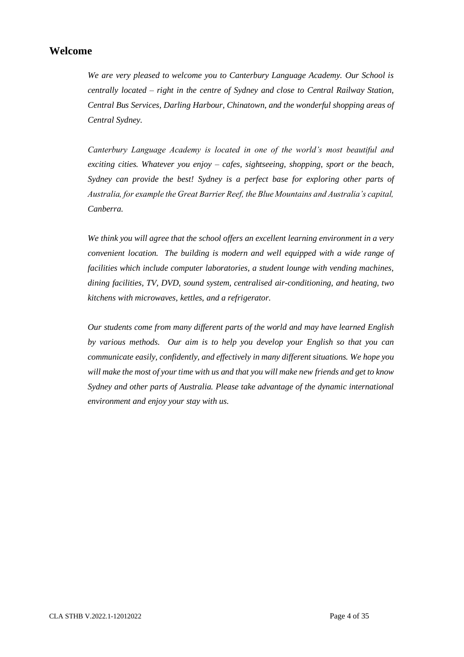# **Welcome**

*We are very pleased to welcome you to Canterbury Language Academy. Our School is centrally located – right in the centre of Sydney and close to Central Railway Station, Central Bus Services, Darling Harbour, Chinatown, and the wonderful shopping areas of Central Sydney.*

*Canterbury Language Academy is located in one of the world's most beautiful and exciting cities. Whatever you enjoy – cafes, sightseeing, shopping, sport or the beach, Sydney can provide the best! Sydney is a perfect base for exploring other parts of Australia, for example the Great Barrier Reef, the Blue Mountains and Australia's capital, Canberra.*

*We think you will agree that the school offers an excellent learning environment in a very convenient location. The building is modern and well equipped with a wide range of facilities which include computer laboratories, a student lounge with vending machines, dining facilities, TV, DVD, sound system, centralised air-conditioning, and heating, two kitchens with microwaves, kettles, and a refrigerator.*

*Our students come from many different parts of the world and may have learned English by various methods. Our aim is to help you develop your English so that you can communicate easily, confidently, and effectively in many different situations. We hope you will make the most of your time with us and that you will make new friends and get to know Sydney and other parts of Australia. Please take advantage of the dynamic international environment and enjoy your stay with us.*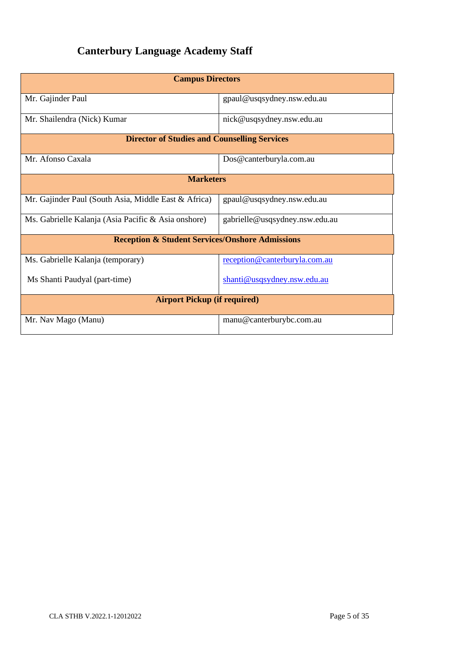# <span id="page-4-0"></span>**Canterbury Language Academy Staff**

| <b>Campus Directors</b>                                    |                                |  |  |  |
|------------------------------------------------------------|--------------------------------|--|--|--|
| Mr. Gajinder Paul                                          | gpaul@usqsydney.nsw.edu.au     |  |  |  |
| Mr. Shailendra (Nick) Kumar                                | nick@usqsydney.nsw.edu.au      |  |  |  |
| <b>Director of Studies and Counselling Services</b>        |                                |  |  |  |
| Mr. Afonso Caxala                                          | Dos@canterburyla.com.au        |  |  |  |
| <b>Marketers</b>                                           |                                |  |  |  |
| Mr. Gajinder Paul (South Asia, Middle East & Africa)       | gpaul@usqsydney.nsw.edu.au     |  |  |  |
| Ms. Gabrielle Kalanja (Asia Pacific & Asia onshore)        | gabrielle@usqsydney.nsw.edu.au |  |  |  |
| <b>Reception &amp; Student Services/Onshore Admissions</b> |                                |  |  |  |
| Ms. Gabrielle Kalanja (temporary)                          | reception@canterburyla.com.au  |  |  |  |
| Ms Shanti Paudyal (part-time)                              | shanti@usqsydney.nsw.edu.au    |  |  |  |
| <b>Airport Pickup (if required)</b>                        |                                |  |  |  |
| Mr. Nav Mago (Manu)                                        | manu@canterburybc.com.au       |  |  |  |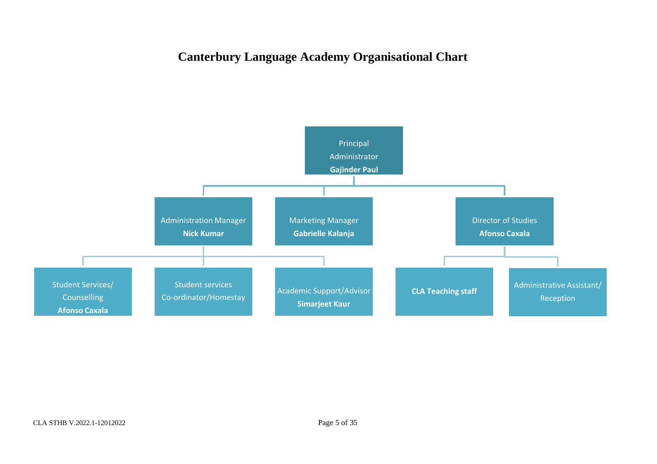# **Canterbury Language Academy Organisational Chart**

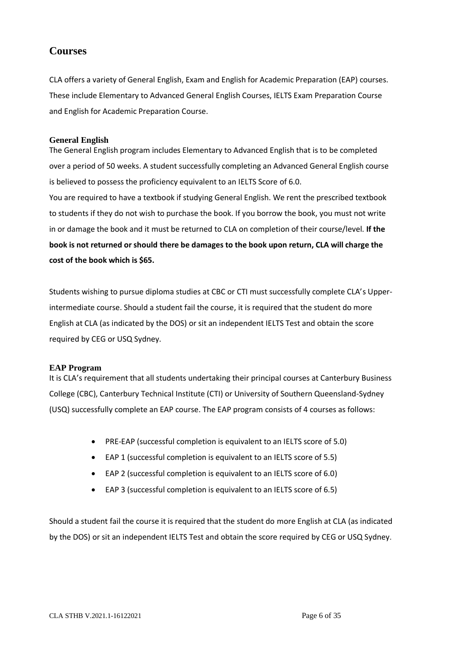# <span id="page-6-0"></span>**Courses**

CLA offers a variety of General English, Exam and English for Academic Preparation (EAP) courses. These include Elementary to Advanced General English Courses, IELTS Exam Preparation Course and English for Academic Preparation Course.

#### <span id="page-6-1"></span>**General English**

The General English program includes Elementary to Advanced English that is to be completed over a period of 50 weeks. A student successfully completing an Advanced General English course is believed to possess the proficiency equivalent to an IELTS Score of 6.0.

You are required to have a textbook if studying General English. We rent the prescribed textbook to students if they do not wish to purchase the book. If you borrow the book, you must not write in or damage the book and it must be returned to CLA on completion of their course/level. **If the book is not returned or should there be damages to the book upon return, CLA will charge the cost of the book which is \$65.**

Students wishing to pursue diploma studies at CBC or CTI must successfully complete CLA's Upperintermediate course. Should a student fail the course, it is required that the student do more English at CLA (as indicated by the DOS) or sit an independent IELTS Test and obtain the score required by CEG or USQ Sydney.

#### <span id="page-6-2"></span>**EAP Program**

It is CLA's requirement that all students undertaking their principal courses at Canterbury Business College (CBC), Canterbury Technical Institute (CTI) or University of Southern Queensland-Sydney (USQ) successfully complete an EAP course. The EAP program consists of 4 courses as follows:

- PRE-EAP (successful completion is equivalent to an IELTS score of 5.0)
- EAP 1 (successful completion is equivalent to an IELTS score of 5.5)
- EAP 2 (successful completion is equivalent to an IELTS score of 6.0)
- EAP 3 (successful completion is equivalent to an IELTS score of 6.5)

Should a student fail the course it is required that the student do more English at CLA (as indicated by the DOS) or sit an independent IELTS Test and obtain the score required by CEG or USQ Sydney.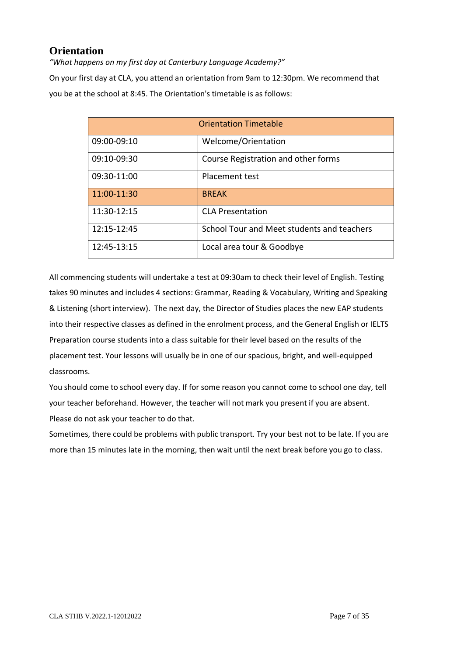# <span id="page-7-0"></span>**Orientation**

*"What happens on my first day at Canterbury Language Academy?"*

On your first day at CLA, you attend an orientation from 9am to 12:30pm. We recommend that you be at the school at 8:45. The Orientation's timetable is as follows:

| <b>Orientation Timetable</b> |                                            |  |
|------------------------------|--------------------------------------------|--|
| 09:00-09:10                  | Welcome/Orientation                        |  |
| 09:10-09:30                  | Course Registration and other forms        |  |
| 09:30-11:00                  | Placement test                             |  |
| 11:00-11:30                  | <b>BREAK</b>                               |  |
| 11:30-12:15                  | <b>CLA Presentation</b>                    |  |
| 12:15-12:45                  | School Tour and Meet students and teachers |  |
| 12:45-13:15                  | Local area tour & Goodbye                  |  |

All commencing students will undertake a test at 09:30am to check their level of English. Testing takes 90 minutes and includes 4 sections: Grammar, Reading & Vocabulary, Writing and Speaking & Listening (short interview). The next day, the Director of Studies places the new EAP students into their respective classes as defined in the enrolment process, and the General English or IELTS Preparation course students into a class suitable for their level based on the results of the placement test. Your lessons will usually be in one of our spacious, bright, and well-equipped classrooms.

You should come to school every day. If for some reason you cannot come to school one day, tell your teacher beforehand. However, the teacher will not mark you present if you are absent. Please do not ask your teacher to do that.

Sometimes, there could be problems with public transport. Try your best not to be late. If you are more than 15 minutes late in the morning, then wait until the next break before you go to class.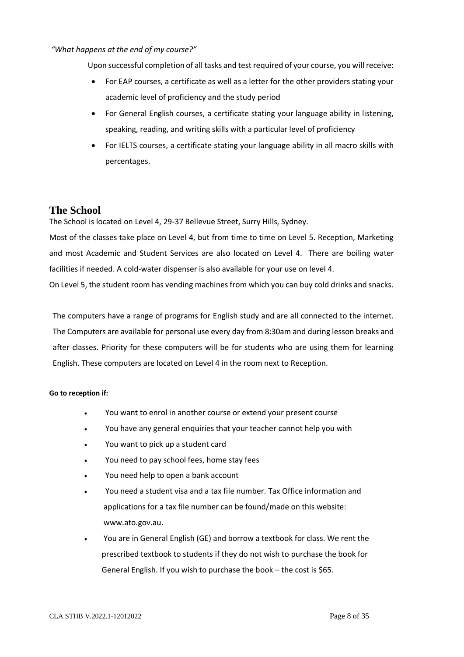#### *"What happens at the end of my course?"*

Upon successful completion of all tasks and test required of your course, you will receive:

- For EAP courses, a certificate as well as a letter for the other providers stating your academic level of proficiency and the study period
- For General English courses, a certificate stating your language ability in listening, speaking, reading, and writing skills with a particular level of proficiency
- For IELTS courses, a certificate stating your language ability in all macro skills with percentages.

#### <span id="page-8-0"></span>**The School**

<span id="page-8-1"></span>The School is located on Level 4, 29-37 Bellevue Street, Surry Hills, Sydney.

Most of the classes take place on Level 4, but from time to time on Level 5. Reception, Marketing and most Academic and Student Services are also located on Level 4. There are boiling water facilities if needed. A cold-water dispenser is also available for your use on level 4.

On Level 5, the student room has vending machines from which you can buy cold drinks and snacks.

The computers have a range of programs for English study and are all connected to the internet. The Computers are available for personal use every day from 8:30am and during lesson breaks and after classes. Priority for these computers will be for students who are using them for learning English. These computers are located on Level 4 in the room next to Reception.

#### **Go to reception if:**

- You want to enrol in another course or extend your present course
- You have any general enquiries that your teacher cannot help you with
- You want to pick up a student card
- You need to pay school fees, home stay fees
- You need help to open a bank account
- You need a student visa and a tax file number. Tax Office information and applications for a tax file number can be found/made on this website: [www.ato.gov.au.](http://www.ato.gov.au/)
- You are in General English (GE) and borrow a textbook for class. We rent the prescribed textbook to students if they do not wish to purchase the book for General English. If you wish to purchase the book - the cost is \$65.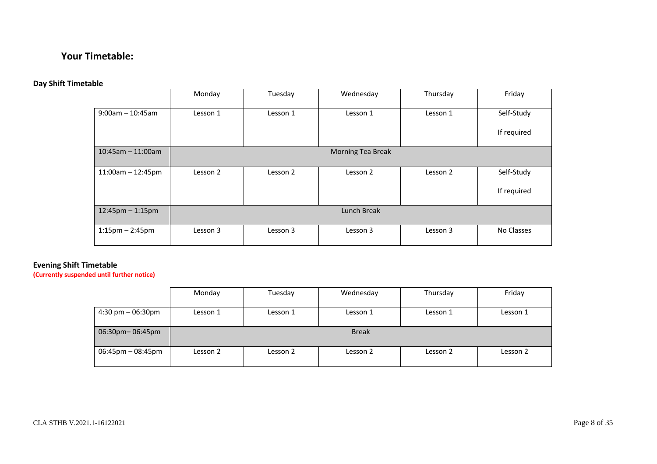# **Your Timetable:**

# **Day Shift Timetable**

|                       | Monday   | Tuesday  | Wednesday         | Thursday | Friday      |
|-----------------------|----------|----------|-------------------|----------|-------------|
| $9:00$ am - 10:45am   | Lesson 1 | Lesson 1 | Lesson 1          | Lesson 1 | Self-Study  |
|                       |          |          |                   |          | If required |
| $10:45$ am - 11:00am  |          |          | Morning Tea Break |          |             |
| $11:00am - 12:45pm$   | Lesson 2 | Lesson 2 | Lesson 2          | Lesson 2 | Self-Study  |
|                       |          |          |                   |          | If required |
| $12:45$ pm $-1:15$ pm |          |          | Lunch Break       |          |             |
| $1:15$ pm – 2:45pm    | Lesson 3 | Lesson 3 | Lesson 3          | Lesson 3 | No Classes  |

#### <span id="page-10-0"></span>**Evening Shift Timetable**

<span id="page-10-1"></span>**(Currently suspended until further notice)**

|                                     | Monday   | Tuesday  | Wednesday    | Thursday | Friday   |
|-------------------------------------|----------|----------|--------------|----------|----------|
| $4:30 \text{ pm} - 06:30 \text{pm}$ | Lesson 1 | Lesson 1 | Lesson 1     | Lesson 1 | Lesson 1 |
| 06:30pm-06:45pm                     |          |          | <b>Break</b> |          |          |
| $06:45$ pm $-08:45$ pm              | Lesson 2 | Lesson 2 | Lesson 2     | Lesson 2 | Lesson 2 |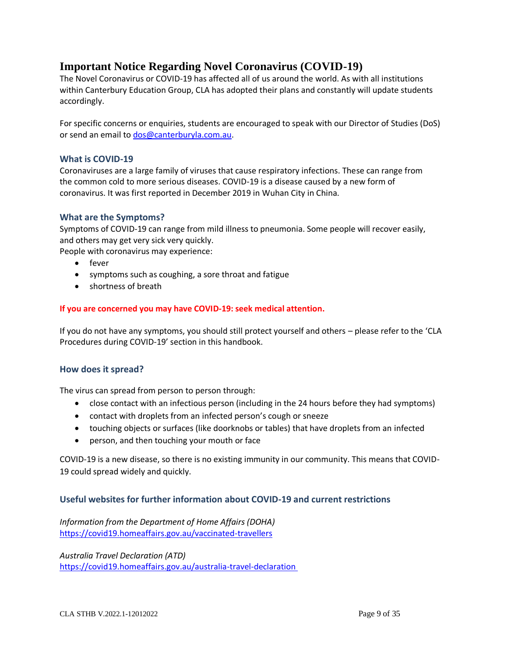# **Important Notice Regarding Novel Coronavirus (COVID-19)**

The Novel Coronavirus or COVID-19 has affected all of us around the world. As with all institutions within Canterbury Education Group, CLA has adopted their plans and constantly will update students accordingly.

<span id="page-11-0"></span>For specific concerns or enquiries, students are encouraged to speak with our Director of Studies (DoS) or send an email to [dos@canterburyla.com.au.](mailto:dos@canterburyla.com.au)

#### **What is COVID-19**

Coronaviruses are a large family of viruses that cause respiratory infections. These can range from the common cold to more serious diseases. COVID-19 is a disease caused by a new form of coronavirus. It was first reported in December 2019 in Wuhan City in China.

#### <span id="page-11-1"></span>**What are the Symptoms?**

Symptoms of COVID-19 can range from mild illness to pneumonia. Some people will recover easily, and others may get very sick very quickly.

<span id="page-11-2"></span>People with coronavirus may experience:

- fever
- symptoms such as coughing, a sore throat and fatigue
- shortness of breath

#### **If you are concerned you may have COVID-19: seek medical attention.**

If you do not have any symptoms, you should still protect yourself and others – please refer to the 'CLA Procedures during COVID-19' section in this handbook.

#### **How does it spread?**

<span id="page-11-3"></span>The virus can spread from person to person through:

- close contact with an infectious person (including in the 24 hours before they had symptoms)
- contact with droplets from an infected person's cough or sneeze
- touching objects or surfaces (like doorknobs or tables) that have droplets from an infected
- person, and then touching your mouth or face

COVID-19 is a new disease, so there is no existing immunity in our community. This means that COVID-19 could spread widely and quickly.

#### **Useful websites for further information about COVID-19 and current restrictions**

<span id="page-11-4"></span>*Information from the Department of Home Affairs (DOHA)* https://covid19.homeaffairs.gov.au/vaccinated-travellers

*Australia Travel Declaration (ATD)* <https://covid19.homeaffairs.gov.au/australia-travel-declaration>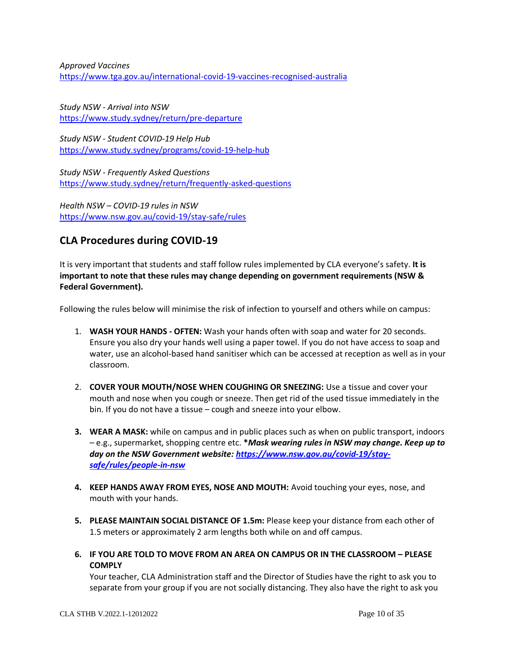*Approved Vaccines*  <https://www.tga.gov.au/international-covid-19-vaccines-recognised-australia>

*Study NSW - Arrival into NSW* https://www.study.sydney/return/pre-departure

*Study NSW - Student COVID-19 Help Hub* <https://www.study.sydney/programs/covid-19-help-hub>

*Study NSW - Frequently Asked Questions*  <https://www.study.sydney/return/frequently-asked-questions>

*Health NSW – COVID-19 rules in NSW* https://www.nsw.gov.au/covid-19/stay-safe/rules

# **CLA Procedures during COVID-19**

It is very important that students and staff follow rules implemented by CLA everyone's safety. **It is important to note that these rules may change depending on government requirements (NSW & Federal Government).**

Following the rules below will minimise the risk of infection to yourself and others while on campus:

- 1. **WASH YOUR HANDS - OFTEN:** Wash your hands often with soap and water for 20 seconds. Ensure you also dry your hands well using a paper towel. If you do not have access to soap and water, use an alcohol-based hand sanitiser which can be accessed at reception as well as in your classroom.
- 2. **COVER YOUR MOUTH/NOSE WHEN COUGHING OR SNEEZING:** Use a tissue and cover your mouth and nose when you cough or sneeze. Then get rid of the used tissue immediately in the bin. If you do not have a tissue – cough and sneeze into your elbow.
- **3. WEAR A MASK:** while on campus and in public places such as when on public transport, indoors – e.g., supermarket, shopping centre etc. **\****Mask wearing rules in NSW may change. Keep up to day on the NSW Government website: [https://www.nsw.gov.au/covid-19/stay](https://www.nsw.gov.au/covid-19/stay-safe/rules/people-in-nsw)[safe/rules/people-in-nsw](https://www.nsw.gov.au/covid-19/stay-safe/rules/people-in-nsw)*
- **4. KEEP HANDS AWAY FROM EYES, NOSE AND MOUTH:** Avoid touching your eyes, nose, and mouth with your hands.
- **5. PLEASE MAINTAIN SOCIAL DISTANCE OF 1.5m:** Please keep your distance from each other of 1.5 meters or approximately 2 arm lengths both while on and off campus.
- **6. IF YOU ARE TOLD TO MOVE FROM AN AREA ON CAMPUS OR IN THE CLASSROOM – PLEASE COMPLY**

Your teacher, CLA Administration staff and the Director of Studies have the right to ask you to separate from your group if you are not socially distancing. They also have the right to ask you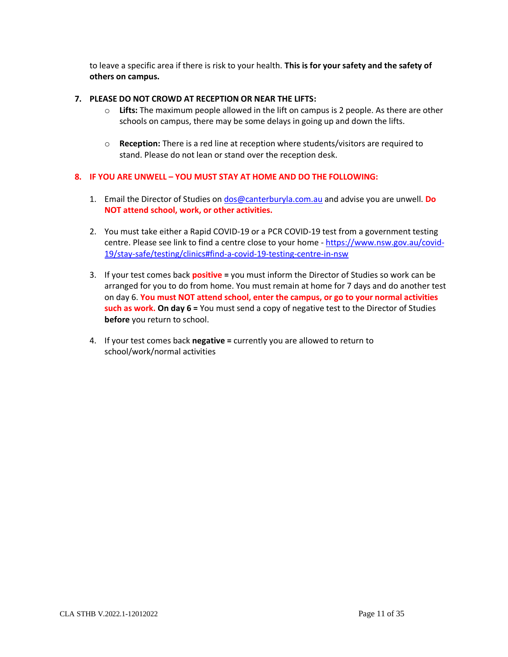to leave a specific area if there is risk to your health. **This is for your safety and the safety of others on campus.**

#### **7. PLEASE DO NOT CROWD AT RECEPTION OR NEAR THE LIFTS:**

- o **Lifts:** The maximum people allowed in the lift on campus is 2 people. As there are other schools on campus, there may be some delays in going up and down the lifts.
- o **Reception:** There is a red line at reception where students/visitors are required to stand. Please do not lean or stand over the reception desk.

#### **8. IF YOU ARE UNWELL – YOU MUST STAY AT HOME AND DO THE FOLLOWING:**

- 1. Email the Director of Studies on [dos@canterburyla.com.au](mailto:dos@canterburyla.com.au) and advise you are unwell. **Do NOT attend school, work, or other activities.**
- 2. You must take either a Rapid COVID-19 or a PCR COVID-19 test from a government testing centre. Please see link to find a centre close to your home - [https://www.nsw.gov.au/covid-](https://www.nsw.gov.au/covid-19/stay-safe/testing/clinics#find-a-covid-19-testing-centre-in-nsw)[19/stay-safe/testing/clinics#find-a-covid-19-testing-centre-in-nsw](https://www.nsw.gov.au/covid-19/stay-safe/testing/clinics#find-a-covid-19-testing-centre-in-nsw)
- 3. If your test comes back **positive =** you must inform the Director of Studies so work can be arranged for you to do from home. You must remain at home for 7 days and do another test on day 6. **You must NOT attend school, enter the campus, or go to your normal activities such as work. On day 6 =** You must send a copy of negative test to the Director of Studies **before** you return to school.
- 4. If your test comes back **negative =** currently you are allowed to return to school/work/normal activities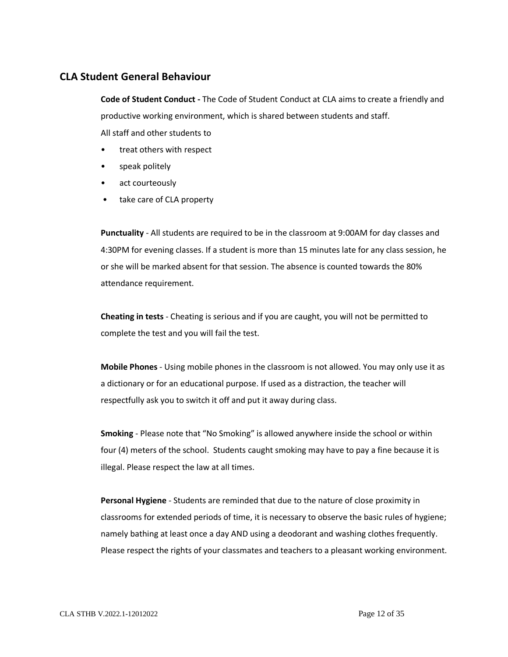## <span id="page-14-0"></span>**CLA Student General Behaviour**

**Code of Student Conduct -** The Code of Student Conduct at CLA aims to create a friendly and productive working environment, which is shared between students and staff. All staff and other students to

- treat others with respect
- speak politely
- act courteously
- take care of CLA property

**Punctuality** - All students are required to be in the classroom at 9:00AM for day classes and 4:30PM for evening classes. If a student is more than 15 minutes late for any class session, he or she will be marked absent for that session. The absence is counted towards the 80% attendance requirement.

**Cheating in tests** - Cheating is serious and if you are caught, you will not be permitted to complete the test and you will fail the test.

**Mobile Phones** - Using mobile phones in the classroom is not allowed. You may only use it as a dictionary or for an educational purpose. If used as a distraction, the teacher will respectfully ask you to switch it off and put it away during class.

**Smoking** - Please note that "No Smoking" is allowed anywhere inside the school or within four (4) meters of the school. Students caught smoking may have to pay a fine because it is illegal. Please respect the law at all times.

**Personal Hygiene** - Students are reminded that due to the nature of close proximity in classrooms for extended periods of time, it is necessary to observe the basic rules of hygiene; namely bathing at least once a day AND using a deodorant and washing clothes frequently. Please respect the rights of your classmates and teachers to a pleasant working environment.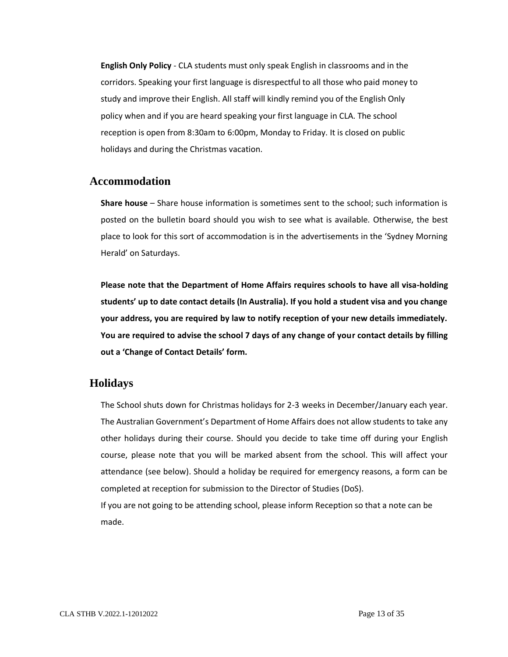**English Only Policy** - CLA students must only speak English in classrooms and in the corridors. Speaking your first language is disrespectful to all those who paid money to study and improve their English. All staff will kindly remind you of the English Only policy when and if you are heard speaking your first language in CLA. The school reception is open from 8:30am to 6:00pm, Monday to Friday. It is closed on public holidays and during the Christmas vacation.

#### **Accommodation**

<span id="page-15-0"></span>**Share house** – Share house information is sometimes sent to the school; such information is posted on the bulletin board should you wish to see what is available. Otherwise, the best place to look for this sort of accommodation is in the advertisements in the 'Sydney Morning Herald' on Saturdays.

**Please note that the Department of Home Affairs requires schools to have all visa-holding students' up to date contact details (In Australia). If you hold a student visa and you change your address, you are required by law to notify reception of your new details immediately. You are required to advise the school 7 days of any change of your contact details by filling out a 'Change of Contact Details' form.**

## **Holidays**

<span id="page-15-1"></span>The School shuts down for Christmas holidays for 2-3 weeks in December/January each year. The Australian Government's Department of Home Affairs does not allow students to take any other holidays during their course. Should you decide to take time off during your English course, please note that you will be marked absent from the school. This will affect your attendance (see below). Should a holiday be required for emergency reasons, a form can be completed at reception for submission to the Director of Studies (DoS).

If you are not going to be attending school, please inform Reception so that a note can be made.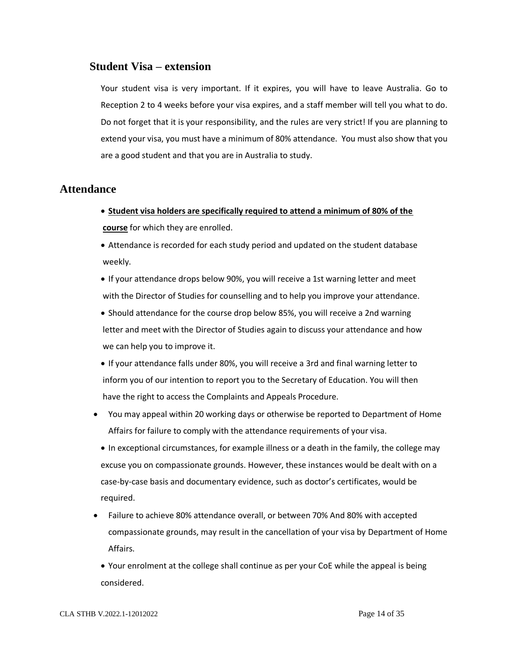#### **Student Visa – extension**

<span id="page-16-0"></span>Your student visa is very important. If it expires, you will have to leave Australia. Go to Reception 2 to 4 weeks before your visa expires, and a staff member will tell you what to do. Do not forget that it is your responsibility, and the rules are very strict! If you are planning to extend your visa, you must have a minimum of 80% attendance. You must also show that you are a good student and that you are in Australia to study.

## <span id="page-16-1"></span>**Attendance**

- **Student visa holders are specifically required to attend a minimum of 80% of the course** for which they are enrolled.
- Attendance is recorded for each study period and updated on the student database weekly.
- If your attendance drops below 90%, you will receive a 1st warning letter and meet with the Director of Studies for counselling and to help you improve your attendance.
- Should attendance for the course drop below 85%, you will receive a 2nd warning letter and meet with the Director of Studies again to discuss your attendance and how we can help you to improve it.
- If your attendance falls under 80%, you will receive a 3rd and final warning letter to inform you of our intention to report you to the Secretary of Education. You will then have the right to access the Complaints and Appeals Procedure.
- You may appeal within 20 working days or otherwise be reported to Department of Home Affairs for failure to comply with the attendance requirements of your visa.
	- In exceptional circumstances, for example illness or a death in the family, the college may excuse you on compassionate grounds. However, these instances would be dealt with on a case-by-case basis and documentary evidence, such as doctor's certificates, would be required.
- Failure to achieve 80% attendance overall, or between 70% And 80% with accepted compassionate grounds, may result in the cancellation of your visa by Department of Home Affairs.
	- Your enrolment at the college shall continue as per your CoE while the appeal is being considered.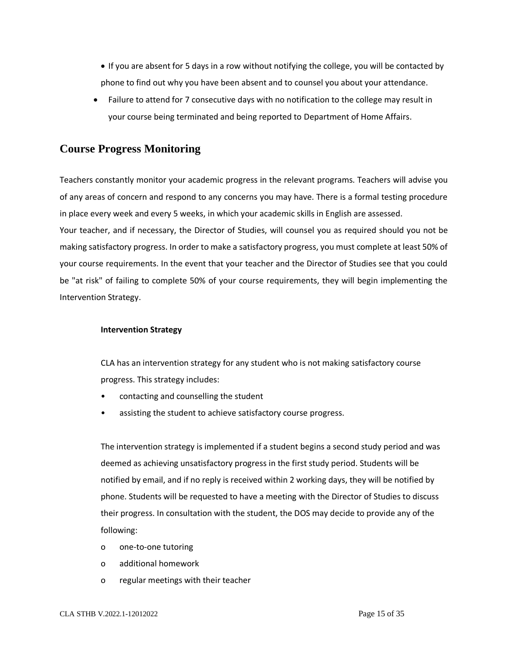- If you are absent for 5 days in a row without notifying the college, you will be contacted by phone to find out why you have been absent and to counsel you about your attendance.
- Failure to attend for 7 consecutive days with no notification to the college may result in your course being terminated and being reported to Department of Home Affairs.

## **Course Progress Monitoring**

<span id="page-17-0"></span>Teachers constantly monitor your academic progress in the relevant programs. Teachers will advise you of any areas of concern and respond to any concerns you may have. There is a formal testing procedure in place every week and every 5 weeks, in which your academic skills in English are assessed.

Your teacher, and if necessary, the Director of Studies, will counsel you as required should you not be making satisfactory progress. In order to make a satisfactory progress, you must complete at least 50% of your course requirements. In the event that your teacher and the Director of Studies see that you could be "at risk" of failing to complete 50% of your course requirements, they will begin implementing the Intervention Strategy.

#### **Intervention Strategy**

CLA has an intervention strategy for any student who is not making satisfactory course progress. This strategy includes:

- contacting and counselling the student
- assisting the student to achieve satisfactory course progress.

The intervention strategy is implemented if a student begins a second study period and was deemed as achieving unsatisfactory progress in the first study period. Students will be notified by email, and if no reply is received within 2 working days, they will be notified by phone. Students will be requested to have a meeting with the Director of Studies to discuss their progress. In consultation with the student, the DOS may decide to provide any of the following:

- o one-to-one tutoring
- o additional homework
- o regular meetings with their teacher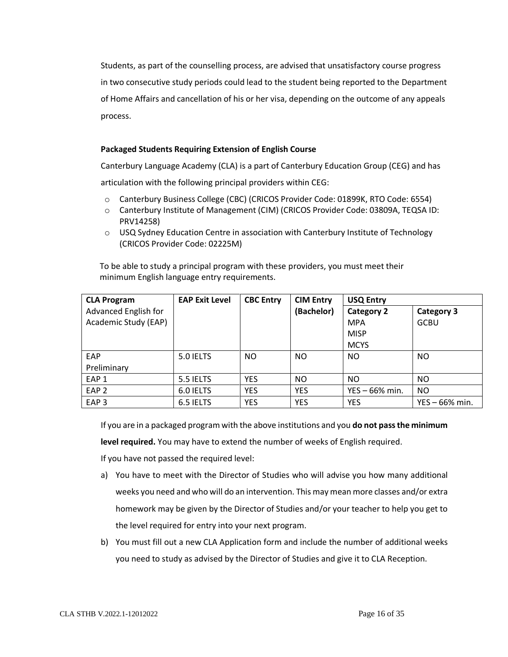Students, as part of the counselling process, are advised that unsatisfactory course progress in two consecutive study periods could lead to the student being reported to the Department of Home Affairs and cancellation of his or her visa, depending on the outcome of any appeals process.

#### **Packaged Students Requiring Extension of English Course**

Canterbury Language Academy (CLA) is a part of Canterbury Education Group (CEG) and has

articulation with the following principal providers within CEG:

- o Canterbury Business College (CBC) (CRICOS Provider Code: 01899K, RTO Code: 6554)
- o Canterbury Institute of Management (CIM) (CRICOS Provider Code: 03809A, TEQSA ID: PRV14258)
- $\circ$  USQ Sydney Education Centre in association with Canterbury Institute of Technology (CRICOS Provider Code: 02225M)

 To be able to study a principal program with these providers, you must meet their minimum English language entry requirements.

| <b>CLA Program</b>   | <b>EAP Exit Level</b> | <b>CBC Entry</b> | <b>CIM Entry</b> | <b>USQ Entry</b>  |                   |
|----------------------|-----------------------|------------------|------------------|-------------------|-------------------|
| Advanced English for |                       |                  | (Bachelor)       | <b>Category 2</b> | <b>Category 3</b> |
| Academic Study (EAP) |                       |                  |                  | <b>MPA</b>        | <b>GCBU</b>       |
|                      |                       |                  |                  | <b>MISP</b>       |                   |
|                      |                       |                  |                  | <b>MCYS</b>       |                   |
| EAP                  | 5.0 IELTS             | NO.              | N <sub>O</sub>   | <sub>NO</sub>     | <b>NO</b>         |
| Preliminary          |                       |                  |                  |                   |                   |
| EAP <sub>1</sub>     | 5.5 IELTS             | <b>YES</b>       | N <sub>O</sub>   | <b>NO</b>         | <b>NO</b>         |
| EAP <sub>2</sub>     | 6.0 IELTS             | <b>YES</b>       | <b>YES</b>       | YES - 66% min.    | <b>NO</b>         |
| EAP <sub>3</sub>     | 6.5 IELTS             | <b>YES</b>       | <b>YES</b>       | <b>YES</b>        | $YES - 66% min.$  |

If you are in a packaged program with the above institutions and you **do not pass the minimum** 

**level required.** You may have to extend the number of weeks of English required.

If you have not passed the required level:

- a) You have to meet with the Director of Studies who will advise you how many additional weeks you need and who will do an intervention. This may mean more classes and/or extra homework may be given by the Director of Studies and/or your teacher to help you get to the level required for entry into your next program.
- b) You must fill out a new CLA Application form and include the number of additional weeks you need to study as advised by the Director of Studies and give it to CLA Reception.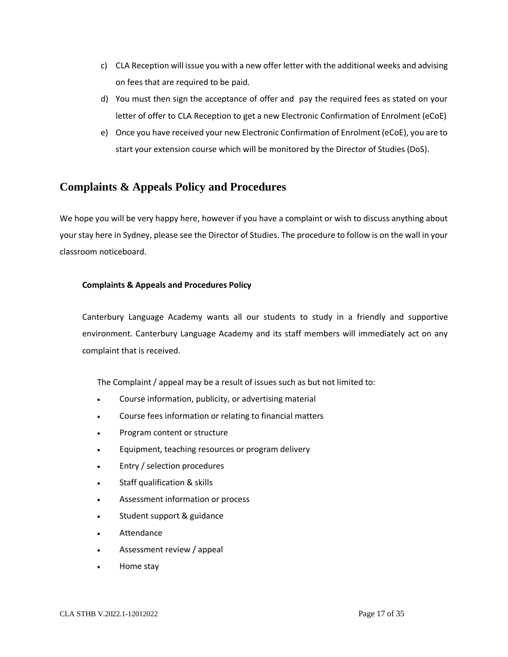- c) CLA Reception will issue you with a new offer letter with the additional weeks and advising on fees that are required to be paid.
- d) You must then sign the acceptance of offer and pay the required fees as stated on your letter of offer to CLA Reception to get a new Electronic Confirmation of Enrolment (eCoE)
- e) Once you have received your new Electronic Confirmation of Enrolment (eCoE), you are to start your extension course which will be monitored by the Director of Studies (DoS).

# **Complaints & Appeals Policy and Procedures**

<span id="page-19-0"></span>We hope you will be very happy here, however if you have a complaint or wish to discuss anything about your stay here in Sydney, please see the Director of Studies. The procedure to follow is on the wall in your classroom noticeboard.

#### **Complaints & Appeals and Procedures Policy**

Canterbury Language Academy wants all our students to study in a friendly and supportive environment. Canterbury Language Academy and its staff members will immediately act on any complaint that is received.

The Complaint / appeal may be a result of issues such as but not limited to:

- Course information, publicity, or advertising material
- Course fees information or relating to financial matters
- Program content or structure
- Equipment, teaching resources or program delivery
- Entry / selection procedures
- Staff qualification & skills
- Assessment information or process
- Student support & guidance
- **Attendance**
- Assessment review / appeal
- Home stay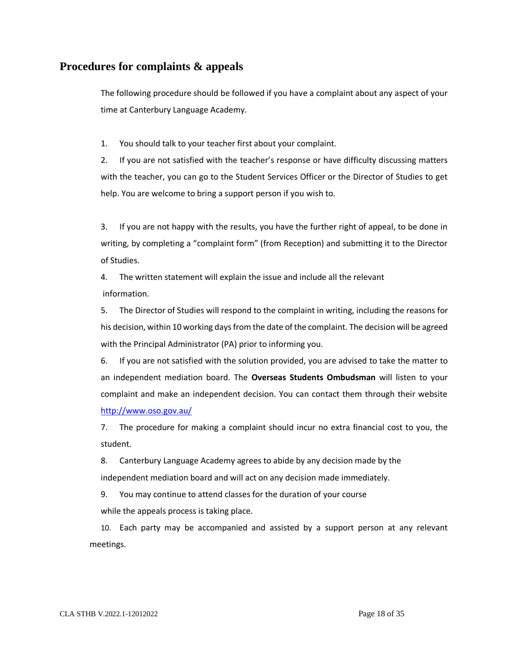## <span id="page-20-0"></span>**Procedures for complaints & appeals**

The following procedure should be followed if you have a complaint about any aspect of your time at Canterbury Language Academy.

1. You should talk to your teacher first about your complaint.

2. If you are not satisfied with the teacher's response or have difficulty discussing matters with the teacher, you can go to the Student Services Officer or the Director of Studies to get help. You are welcome to bring a support person if you wish to.

3. If you are not happy with the results, you have the further right of appeal, to be done in writing, by completing a "complaint form" (from Reception) and submitting it to the Director of Studies.

4. The written statement will explain the issue and include all the relevant information.

5. The Director of Studies will respond to the complaint in writing, including the reasons for his decision, within 10 working days from the date of the complaint. The decision will be agreed with the Principal Administrator (PA) prior to informing you.

6. If you are not satisfied with the solution provided, you are advised to take the matter to an independent mediation board. The **Overseas Students Ombudsman** will listen to your complaint and make an independent decision. You can contact them through their website <http://www.oso.gov.au/>

7. The procedure for making a complaint should incur no extra financial cost to you, the student.

8. Canterbury Language Academy agrees to abide by any decision made by the independent mediation board and will act on any decision made immediately.

9. You may continue to attend classes for the duration of your course while the appeals process is taking place.

10. Each party may be accompanied and assisted by a support person at any relevant meetings.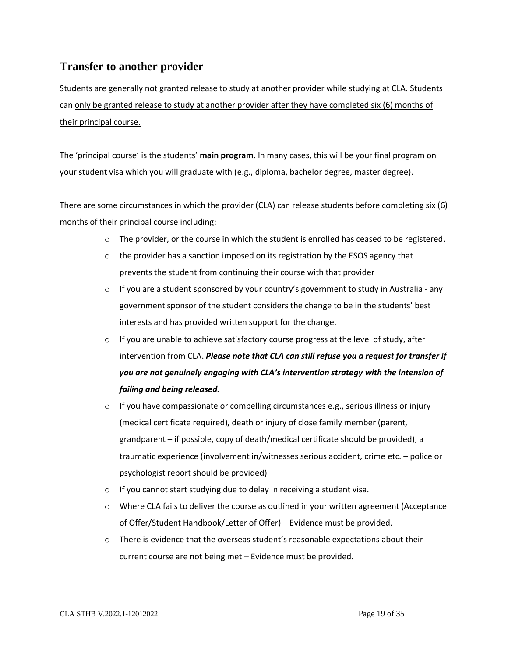# **Transfer to another provider**

<span id="page-21-0"></span>Students are generally not granted release to study at another provider while studying at CLA. Students can only be granted release to study at another provider after they have completed six (6) months of their principal course.

The 'principal course' is the students' **main program**. In many cases, this will be your final program on your student visa which you will graduate with (e.g., diploma, bachelor degree, master degree).

There are some circumstances in which the provider (CLA) can release students before completing six (6) months of their principal course including:

- o The provider, or the course in which the student is enrolled has ceased to be registered.
- $\circ$  the provider has a sanction imposed on its registration by the ESOS agency that prevents the student from continuing their course with that provider
- $\circ$  If you are a student sponsored by your country's government to study in Australia any government sponsor of the student considers the change to be in the students' best interests and has provided written support for the change.
- $\circ$  If you are unable to achieve satisfactory course progress at the level of study, after intervention from CLA. *Please note that CLA can still refuse you a request for transfer if you are not genuinely engaging with CLA's intervention strategy with the intension of failing and being released.*
- o If you have compassionate or compelling circumstances e.g., serious illness or injury (medical certificate required), death or injury of close family member (parent, grandparent – if possible, copy of death/medical certificate should be provided), a traumatic experience (involvement in/witnesses serious accident, crime etc. – police or psychologist report should be provided)
- $\circ$  If you cannot start studying due to delay in receiving a student visa.
- $\circ$  Where CLA fails to deliver the course as outlined in your written agreement (Acceptance of Offer/Student Handbook/Letter of Offer) – Evidence must be provided.
- $\circ$  There is evidence that the overseas student's reasonable expectations about their current course are not being met – Evidence must be provided.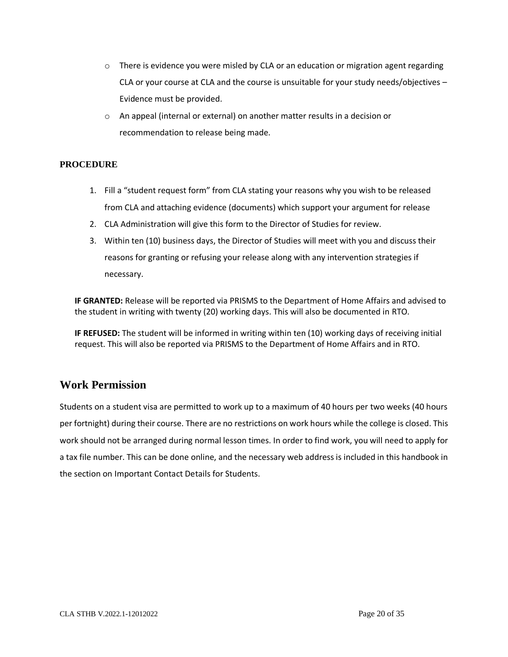- $\circ$  There is evidence you were misled by CLA or an education or migration agent regarding CLA or your course at CLA and the course is unsuitable for your study needs/objectives – Evidence must be provided.
- o An appeal (internal or external) on another matter results in a decision or recommendation to release being made.

#### **PROCEDURE**

- 1. Fill a "student request form" from CLA stating your reasons why you wish to be released from CLA and attaching evidence (documents) which support your argument for release
- 2. CLA Administration will give this form to the Director of Studies for review.
- 3. Within ten (10) business days, the Director of Studies will meet with you and discuss their reasons for granting or refusing your release along with any intervention strategies if necessary.

**IF GRANTED:** Release will be reported via PRISMS to the Department of Home Affairs and advised to the student in writing with twenty (20) working days. This will also be documented in RTO.

**IF REFUSED:** The student will be informed in writing within ten (10) working days of receiving initial request. This will also be reported via PRISMS to the Department of Home Affairs and in RTO.

# **Work Permission**

<span id="page-22-0"></span>Students on a student visa are permitted to work up to a maximum of 40 hours per two weeks (40 hours per fortnight) during their course. There are no restrictions on work hours while the college is closed. This work should not be arranged during normal lesson times. In order to find work, you will need to apply for a tax file number. This can be done online, and the necessary web address is included in this handbook in the section on Important Contact Details for Students.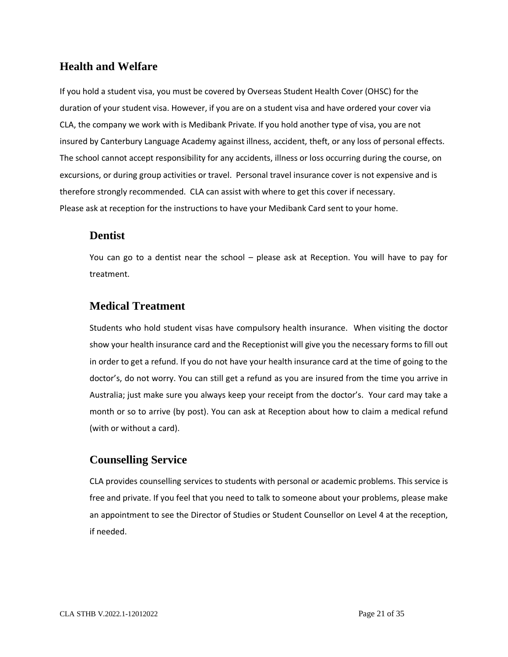# **Health and Welfare**

<span id="page-23-0"></span>If you hold a student visa, you must be covered by Overseas Student Health Cover (OHSC) for the duration of your student visa. However, if you are on a student visa and have ordered your cover via CLA, the company we work with is Medibank Private. If you hold another type of visa, you are not insured by Canterbury Language Academy against illness, accident, theft, or any loss of personal effects. The school cannot accept responsibility for any accidents, illness or loss occurring during the course, on excursions, or during group activities or travel. Personal travel insurance cover is not expensive and is therefore strongly recommended. CLA can assist with where to get this cover if necessary. Please ask at reception for the instructions to have your Medibank Card sent to your home.

# **Dentist**

<span id="page-23-1"></span>You can go to a dentist near the school – please ask at Reception. You will have to pay for treatment.

# **Medical Treatment**

<span id="page-23-2"></span>Students who hold student visas have compulsory health insurance. When visiting the doctor show your health insurance card and the Receptionist will give you the necessary forms to fill out in order to get a refund. If you do not have your health insurance card at the time of going to the doctor's, do not worry. You can still get a refund as you are insured from the time you arrive in Australia; just make sure you always keep your receipt from the doctor's. Your card may take a month or so to arrive (by post). You can ask at Reception about how to claim a medical refund (with or without a card).

# **Counselling Service**

<span id="page-23-3"></span>CLA provides counselling services to students with personal or academic problems. This service is free and private. If you feel that you need to talk to someone about your problems, please make an appointment to see the Director of Studies or Student Counsellor on Level 4 at the reception, if needed.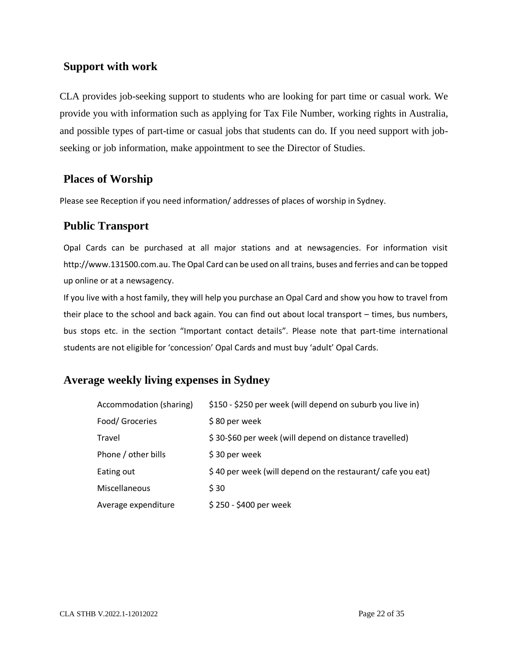# **Support with work**

<span id="page-24-0"></span>CLA provides job-seeking support to students who are looking for part time or casual work. We provide you with information such as applying for Tax File Number, working rights in Australia, and possible types of part-time or casual jobs that students can do. If you need support with jobseeking or job information, make appointment to see the Director of Studies.

# **Places of Worship**

Please see Reception if you need information/ addresses of places of worship in Sydney.

# <span id="page-24-1"></span>**Public Transport**

<span id="page-24-2"></span>Opal Cards can be purchased at all major stations and at newsagencies. For information visit http://www.131500.com.au. The Opal Card can be used on all trains, buses and ferries and can be topped up online or at a newsagency.

If you live with a host family, they will help you purchase an Opal Card and show you how to travel from their place to the school and back again. You can find out about local transport – times, bus numbers, bus stops etc. in the section "Important contact details". Please note that part-time international students are not eligible for 'concession' Opal Cards and must buy 'adult' Opal Cards.

# <span id="page-24-3"></span>**Average weekly living expenses in Sydney**

| Accommodation (sharing) | \$150 - \$250 per week (will depend on suburb you live in)  |
|-------------------------|-------------------------------------------------------------|
| Food/ Groceries         | \$80 per week                                               |
| Travel                  | \$30-\$60 per week (will depend on distance travelled)      |
| Phone / other bills     | \$30 per week                                               |
| Eating out              | \$40 per week (will depend on the restaurant/ cafe you eat) |
| Miscellaneous           | \$30                                                        |
| Average expenditure     | \$250 - \$400 per week                                      |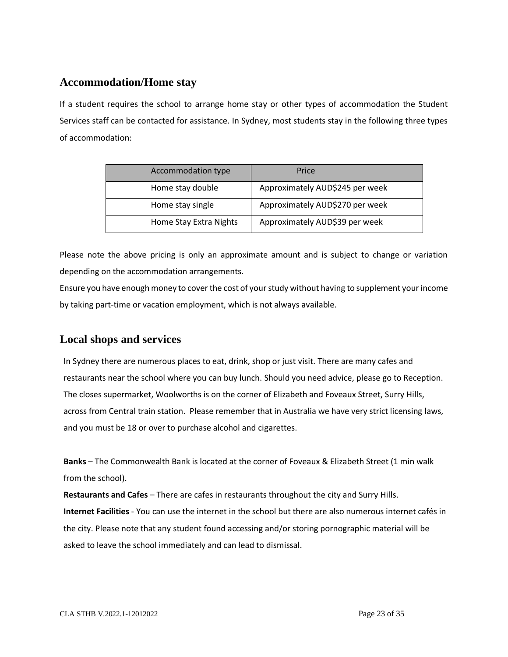# **Accommodation/Home stay**

<span id="page-25-0"></span>If a student requires the school to arrange home stay or other types of accommodation the Student Services staff can be contacted for assistance. In Sydney, most students stay in the following three types of accommodation:

| Accommodation type     | Price                           |
|------------------------|---------------------------------|
| Home stay double       | Approximately AUD\$245 per week |
| Home stay single       | Approximately AUD\$270 per week |
| Home Stay Extra Nights | Approximately AUD\$39 per week  |

Please note the above pricing is only an approximate amount and is subject to change or variation depending on the accommodation arrangements.

Ensure you have enough money to cover the cost of your study without having to supplement your income by taking part-time or vacation employment, which is not always available.

# **Local shops and services**

<span id="page-25-1"></span>In Sydney there are numerous places to eat, drink, shop or just visit. There are many cafes and restaurants near the school where you can buy lunch. Should you need advice, please go to Reception. The closes supermarket, Woolworths is on the corner of Elizabeth and Foveaux Street, Surry Hills, across from Central train station. Please remember that in Australia we have very strict licensing laws, and you must be 18 or over to purchase alcohol and cigarettes.

**Banks** – The Commonwealth Bank is located at the corner of Foveaux & Elizabeth Street (1 min walk from the school).

**Restaurants and Cafes** – There are cafes in restaurants throughout the city and Surry Hills. **Internet Facilities** - You can use the internet in the school but there are also numerous internet cafés in the city. Please note that any student found accessing and/or storing pornographic material will be asked to leave the school immediately and can lead to dismissal.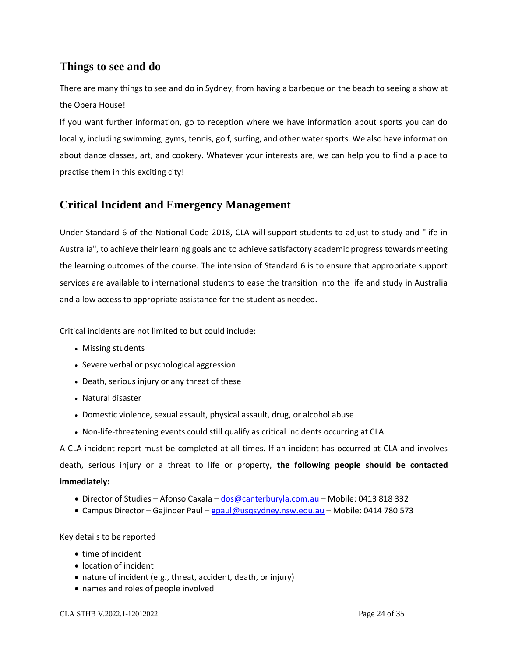# **Things to see and do**

There are many things to see and do in Sydney, from having a barbeque on the beach to seeing a show at the Opera House!

<span id="page-26-0"></span>If you want further information, go to reception where we have information about sports you can do locally, including swimming, gyms, tennis, golf, surfing, and other water sports. We also have information about dance classes, art, and cookery. Whatever your interests are, we can help you to find a place to practise them in this exciting city!

# **Critical Incident and Emergency Management**

<span id="page-26-1"></span>Under Standard 6 of the National Code 2018, CLA will support students to adjust to study and "life in Australia", to achieve their learning goals and to achieve satisfactory academic progress towards meeting the learning outcomes of the course. The intension of Standard 6 is to ensure that appropriate support services are available to international students to ease the transition into the life and study in Australia and allow access to appropriate assistance for the student as needed.

Critical incidents are not limited to but could include:

- Missing students
- Severe verbal or psychological aggression
- Death, serious injury or any threat of these
- Natural disaster
- Domestic violence, sexual assault, physical assault, drug, or alcohol abuse
- Non-life-threatening events could still qualify as critical incidents occurring at CLA

A CLA incident report must be completed at all times. If an incident has occurred at CLA and involves death, serious injury or a threat to life or property, **the following people should be contacted immediately:**

- Director of Studies Afonso Caxala [dos@canterburyla.com.au](mailto:dos@canterburyla.com.au) Mobile: 0413 818 332
- Campus Director Gajinder Paul [gpaul@usqsydney.nsw.edu.au](mailto:gpaul@usqsydney.nsw.edu.au) Mobile: 0414 780 573

#### Key details to be reported

- time of incident
- location of incident
- nature of incident (e.g., threat, accident, death, or injury)
- names and roles of people involved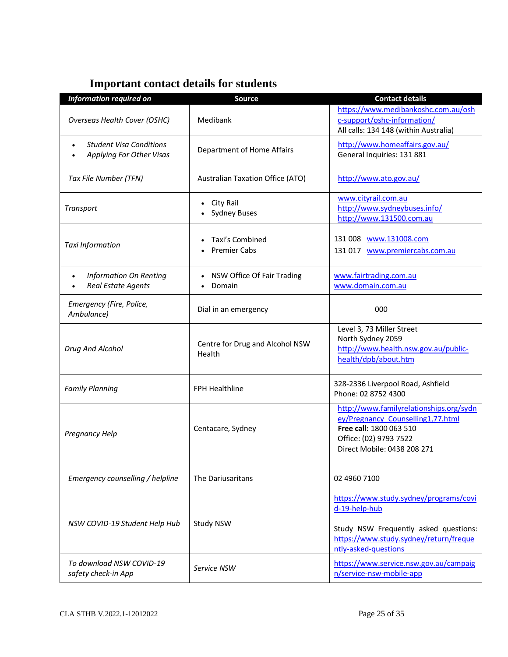<span id="page-27-0"></span>

| <b>Information required on</b>                             | <b>Source</b>                                 | <b>Contact details</b>                                                                                                                                             |
|------------------------------------------------------------|-----------------------------------------------|--------------------------------------------------------------------------------------------------------------------------------------------------------------------|
| Overseas Health Cover (OSHC)                               | Medibank                                      | https://www.medibankoshc.com.au/osh<br>c-support/oshc-information/<br>All calls: 134 148 (within Australia)                                                        |
| <b>Student Visa Conditions</b><br>Applying For Other Visas | Department of Home Affairs                    | http://www.homeaffairs.gov.au/<br>General Inquiries: 131 881                                                                                                       |
| Tax File Number (TFN)                                      | <b>Australian Taxation Office (ATO)</b>       | http://www.ato.gov.au/                                                                                                                                             |
| Transport                                                  | City Rail<br>$\bullet$<br><b>Sydney Buses</b> | www.cityrail.com.au<br>http://www.sydneybuses.info/<br>http://www.131500.com.au                                                                                    |
| Taxi Information                                           | Taxi's Combined<br><b>Premier Cabs</b>        | 131 008 www.131008.com<br>131 017 www.premiercabs.com.au                                                                                                           |
| <b>Information On Renting</b><br><b>Real Estate Agents</b> | NSW Office Of Fair Trading<br>Domain          | www.fairtrading.com.au<br>www.domain.com.au                                                                                                                        |
| Emergency (Fire, Police,<br>Ambulance)                     | Dial in an emergency                          | 000                                                                                                                                                                |
| Drug And Alcohol                                           | Centre for Drug and Alcohol NSW<br>Health     | Level 3, 73 Miller Street<br>North Sydney 2059<br>http://www.health.nsw.gov.au/public-<br>health/dpb/about.htm                                                     |
| <b>Family Planning</b>                                     | <b>FPH Healthline</b>                         | 328-2336 Liverpool Road, Ashfield<br>Phone: 02 8752 4300                                                                                                           |
| Pregnancy Help                                             | Centacare, Sydney                             | http://www.familyrelationships.org/sydn<br>ey/Pregnancy Counselling1,77.html<br>Free call: 1800 063 510<br>Office: (02) 9793 7522<br>Direct Mobile: 0438 208 271   |
| Emergency counselling / helpline                           | The Dariusaritans                             | 02 4960 7100                                                                                                                                                       |
| NSW COVID-19 Student Help Hub                              | Study NSW                                     | https://www.study.sydney/programs/covi<br>d-19-help-hub<br>Study NSW Frequently asked questions:<br>https://www.study.sydney/return/freque<br>ntly-asked-questions |
| To download NSW COVID-19<br>safety check-in App            | Service NSW                                   | https://www.service.nsw.gov.au/campaig<br>n/service-nsw-mobile-app                                                                                                 |

# **Important contact details for students**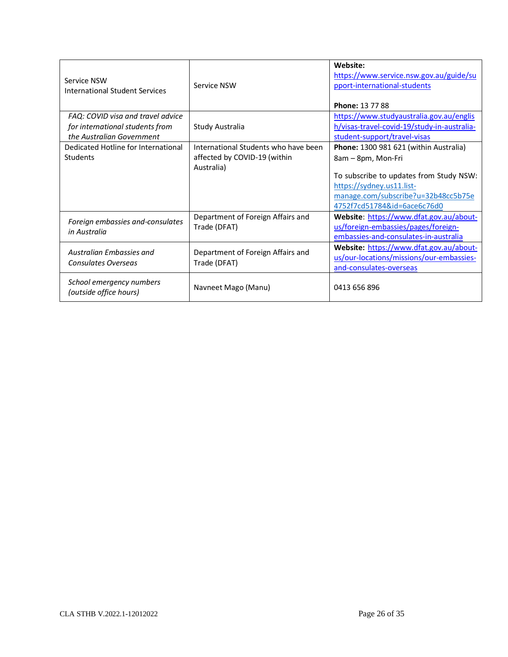| Service NSW<br>International Student Services                        | Service NSW                                                          | Website:<br>https://www.service.nsw.gov.au/guide/su<br>pport-international-students<br><b>Phone: 13 77 88</b> |
|----------------------------------------------------------------------|----------------------------------------------------------------------|---------------------------------------------------------------------------------------------------------------|
| FAQ: COVID visa and travel advice<br>for international students from | Study Australia                                                      | https://www.studyaustralia.gov.au/englis<br>h/visas-travel-covid-19/study-in-australia-                       |
| the Australian Government                                            |                                                                      | student-support/travel-visas                                                                                  |
| Dedicated Hotline for International<br>Students                      | International Students who have been<br>affected by COVID-19 (within | Phone: 1300 981 621 (within Australia)<br>8am - 8pm, Mon-Fri                                                  |
|                                                                      | Australia)                                                           |                                                                                                               |
|                                                                      |                                                                      | To subscribe to updates from Study NSW:                                                                       |
|                                                                      |                                                                      | https://sydney.us11.list-                                                                                     |
|                                                                      |                                                                      | manage.com/subscribe?u=32b48cc5b75e                                                                           |
|                                                                      |                                                                      | 4752f7cd51784&id=6ace6c76d0                                                                                   |
| Foreign embassies and-consulates                                     | Department of Foreign Affairs and                                    | Website: https://www.dfat.gov.au/about-                                                                       |
| in Australia                                                         | Trade (DFAT)                                                         | us/foreign-embassies/pages/foreign-                                                                           |
|                                                                      |                                                                      | embassies-and-consulates-in-australia                                                                         |
| Australian Embassies and                                             | Department of Foreign Affairs and                                    | Website: https://www.dfat.gov.au/about-                                                                       |
| Consulates Overseas                                                  | Trade (DFAT)                                                         | us/our-locations/missions/our-embassies-                                                                      |
|                                                                      |                                                                      | and-consulates-overseas                                                                                       |
| School emergency numbers<br>(outside office hours)                   | Navneet Mago (Manu)                                                  | 0413 656 896                                                                                                  |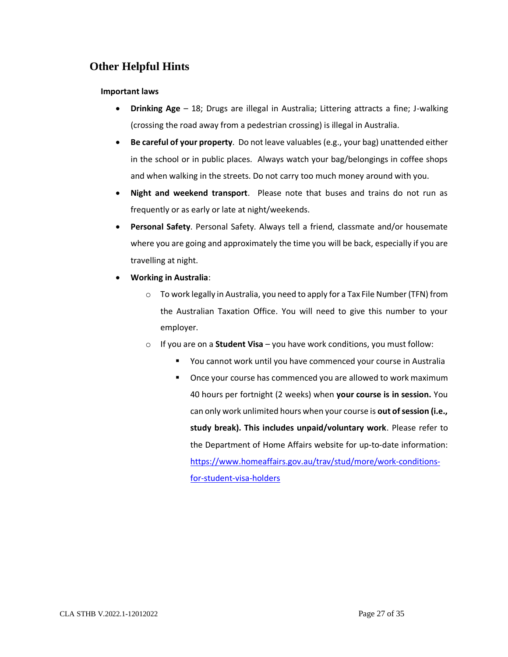# **Other Helpful Hints**

#### <span id="page-29-0"></span>**Important laws**

- **Drinking Age** 18; Drugs are illegal in Australia; Littering attracts a fine; J-walking (crossing the road away from a pedestrian crossing) is illegal in Australia.
- **Be careful of your property**. Do not leave valuables (e.g., your bag) unattended either in the school or in public places. Always watch your bag/belongings in coffee shops and when walking in the streets. Do not carry too much money around with you.
- **Night and weekend transport**. Please note that buses and trains do not run as frequently or as early or late at night/weekends.
- **Personal Safety**. Personal Safety. Always tell a friend, classmate and/or housemate where you are going and approximately the time you will be back, especially if you are travelling at night.
- **Working in Australia**:
	- o To work legally in Australia, you need to apply for a Tax File Number (TFN) from the Australian Taxation Office. You will need to give this number to your employer.
	- o If you are on a **Student Visa** you have work conditions, you must follow:
		- You cannot work until you have commenced your course in Australia
		- Once your course has commenced you are allowed to work maximum 40 hours per fortnight (2 weeks) when **your course is in session.** You can only work unlimited hours when your course is **out of session (i.e., study break). This includes unpaid/voluntary work**. Please refer to the Department of Home Affairs website for up-to-date information: [https://www.homeaffairs.gov.au/trav/stud/more/work-conditions](https://www.homeaffairs.gov.au/trav/stud/more/work-conditions-for-student-visa-holders)[for-student-visa-holders](https://www.homeaffairs.gov.au/trav/stud/more/work-conditions-for-student-visa-holders)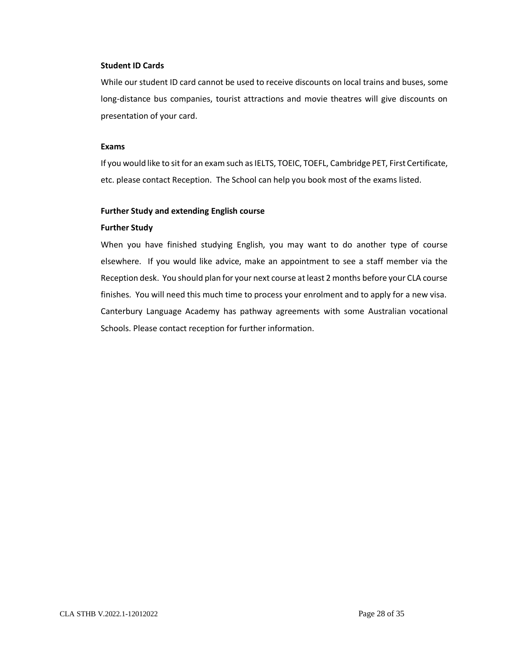#### **Student ID Cards**

While our student ID card cannot be used to receive discounts on local trains and buses, some long-distance bus companies, tourist attractions and movie theatres will give discounts on presentation of your card.

#### **Exams**

If you would like to sit for an exam such as IELTS, TOEIC, TOEFL, Cambridge PET, First Certificate, etc. please contact Reception. The School can help you book most of the exams listed.

#### **Further Study and extending English course**

#### **Further Study**

When you have finished studying English, you may want to do another type of course elsewhere. If you would like advice, make an appointment to see a staff member via the Reception desk. You should plan for your next course at least 2 months before your CLA course finishes. You will need this much time to process your enrolment and to apply for a new visa. Canterbury Language Academy has pathway agreements with some Australian vocational Schools. Please contact reception for further information.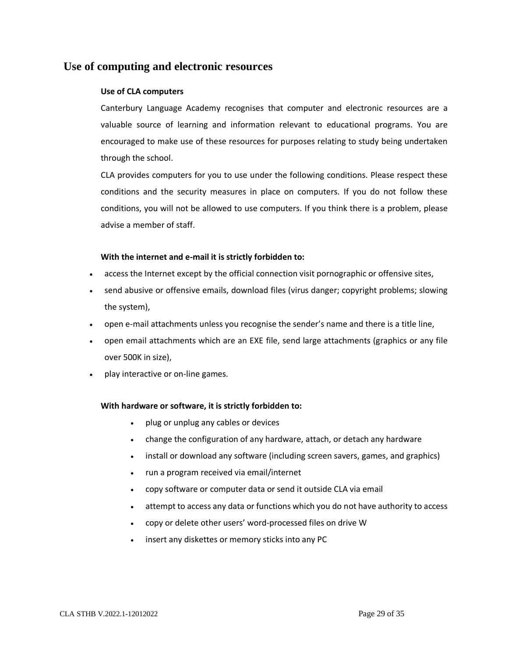## <span id="page-31-0"></span>**Use of computing and electronic resources**

#### **Use of CLA computers**

Canterbury Language Academy recognises that computer and electronic resources are a valuable source of learning and information relevant to educational programs. You are encouraged to make use of these resources for purposes relating to study being undertaken through the school.

CLA provides computers for you to use under the following conditions. Please respect these conditions and the security measures in place on computers. If you do not follow these conditions, you will not be allowed to use computers. If you think there is a problem, please advise a member of staff.

#### **With the internet and e-mail it is strictly forbidden to:**

- access the Internet except by the official connection visit pornographic or offensive sites,
- send abusive or offensive emails, download files (virus danger; copyright problems; slowing the system),
- open e-mail attachments unless you recognise the sender's name and there is a title line,
- open email attachments which are an EXE file, send large attachments (graphics or any file over 500K in size),
- play interactive or on-line games.

#### **With hardware or software, it is strictly forbidden to:**

- plug or unplug any cables or devices
- change the configuration of any hardware, attach, or detach any hardware
- install or download any software (including screen savers, games, and graphics)
- run a program received via email/internet
- copy software or computer data or send it outside CLA via email
- attempt to access any data or functions which you do not have authority to access
- copy or delete other users' word-processed files on drive W
- insert any diskettes or memory sticks into any PC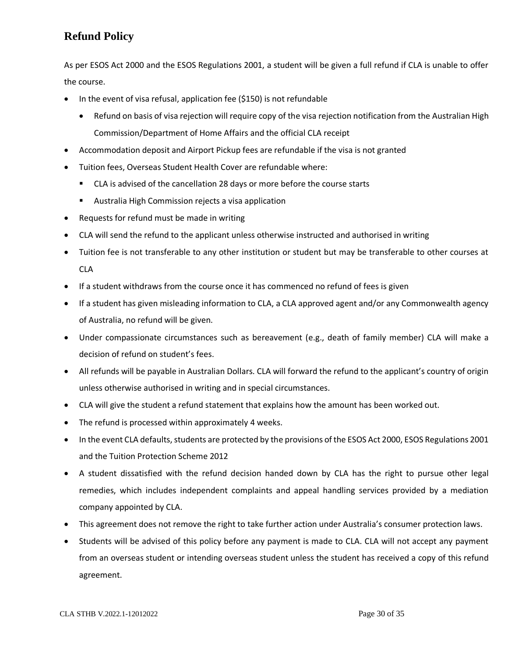# **Refund Policy**

<span id="page-32-0"></span>As per ESOS Act 2000 and the ESOS Regulations 2001, a student will be given a full refund if CLA is unable to offer the course.

- In the event of visa refusal, application fee (\$150) is not refundable
	- Refund on basis of visa rejection will require copy of the visa rejection notification from the Australian High Commission/Department of Home Affairs and the official CLA receipt
- Accommodation deposit and Airport Pickup fees are refundable if the visa is not granted
- Tuition fees, Overseas Student Health Cover are refundable where:
	- CLA is advised of the cancellation 28 days or more before the course starts
	- Australia High Commission rejects a visa application
- Requests for refund must be made in writing
- CLA will send the refund to the applicant unless otherwise instructed and authorised in writing
- Tuition fee is not transferable to any other institution or student but may be transferable to other courses at CLA
- If a student withdraws from the course once it has commenced no refund of fees is given
- If a student has given misleading information to CLA, a CLA approved agent and/or any Commonwealth agency of Australia, no refund will be given.
- Under compassionate circumstances such as bereavement (e.g., death of family member) CLA will make a decision of refund on student's fees.
- All refunds will be payable in Australian Dollars. CLA will forward the refund to the applicant's country of origin unless otherwise authorised in writing and in special circumstances.
- CLA will give the student a refund statement that explains how the amount has been worked out.
- The refund is processed within approximately 4 weeks.
- In the event CLA defaults, students are protected by the provisions of the ESOS Act 2000, ESOS Regulations 2001 and the Tuition Protection Scheme 2012
- A student dissatisfied with the refund decision handed down by CLA has the right to pursue other legal remedies, which includes independent complaints and appeal handling services provided by a mediation company appointed by CLA.
- This agreement does not remove the right to take further action under Australia's consumer protection laws.
- Students will be advised of this policy before any payment is made to CLA. CLA will not accept any payment from an overseas student or intending overseas student unless the student has received a copy of this refund agreement.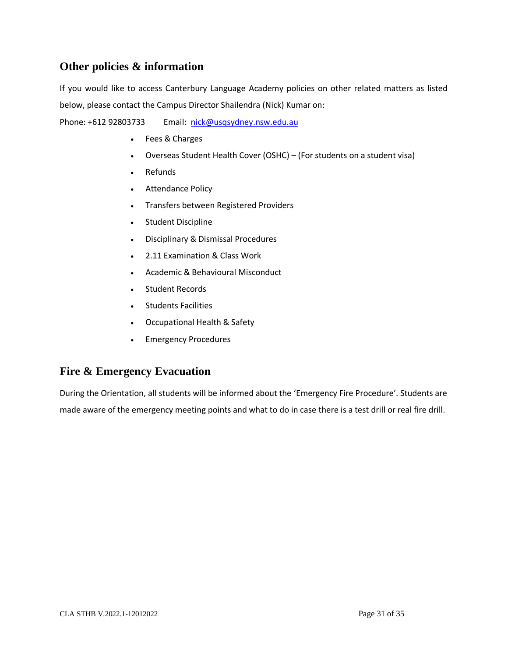# **Other policies & information**

If you would like to access Canterbury Language Academy policies on other related matters as listed below, please contact the Campus Director Shailendra (Nick) Kumar on:

<span id="page-33-0"></span>Phone: +612 92803733 Email: [nick@usqsydney.nsw.edu.au](mailto:nick@usqsydney.nsw.edu.au)

- Fees & Charges
- Overseas Student Health Cover (OSHC) (For students on a student visa)
- Refunds
- Attendance Policy
- Transfers between Registered Providers
- Student Discipline
- Disciplinary & Dismissal Procedures
- 2.11 Examination & Class Work
- Academic & Behavioural Misconduct
- Student Records
- Students Facilities
- Occupational Health & Safety
- Emergency Procedures

# **Fire & Emergency Evacuation**

<span id="page-33-1"></span>During the Orientation, all students will be informed about the 'Emergency Fire Procedure'. Students are made aware of the emergency meeting points and what to do in case there is a test drill or real fire drill.